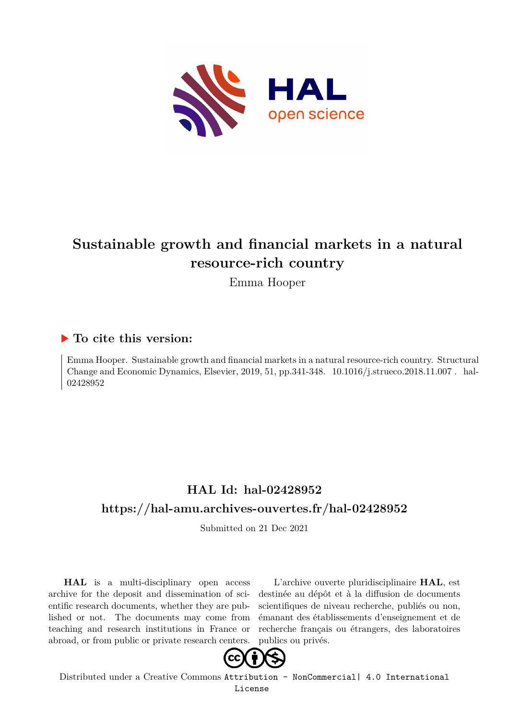

# **Sustainable growth and financial markets in a natural resource-rich country**

Emma Hooper

## **To cite this version:**

Emma Hooper. Sustainable growth and financial markets in a natural resource-rich country. Structural Change and Economic Dynamics, Elsevier, 2019, 51, pp.341-348.  $10.1016/j.strueco.2018.11.007$ . hal-02428952

# **HAL Id: hal-02428952 <https://hal-amu.archives-ouvertes.fr/hal-02428952>**

Submitted on 21 Dec 2021

**HAL** is a multi-disciplinary open access archive for the deposit and dissemination of scientific research documents, whether they are published or not. The documents may come from teaching and research institutions in France or abroad, or from public or private research centers.

L'archive ouverte pluridisciplinaire **HAL**, est destinée au dépôt et à la diffusion de documents scientifiques de niveau recherche, publiés ou non, émanant des établissements d'enseignement et de recherche français ou étrangers, des laboratoires publics ou privés.



Distributed under a Creative Commons [Attribution - NonCommercial| 4.0 International](http://creativecommons.org/licenses/by-nc/4.0/) [License](http://creativecommons.org/licenses/by-nc/4.0/)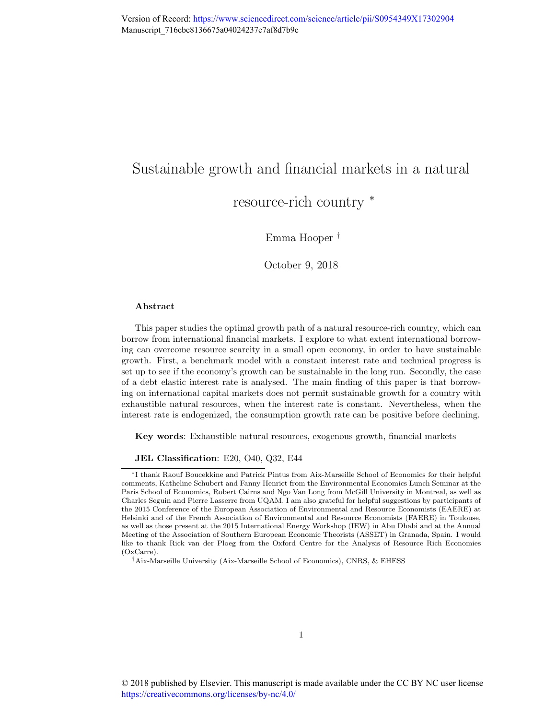# Sustainable growth and financial markets in a natural

## resource-rich country <sup>∗</sup>

Emma Hooper †

October 9, 2018

#### Abstract

This paper studies the optimal growth path of a natural resource-rich country, which can borrow from international financial markets. I explore to what extent international borrowing can overcome resource scarcity in a small open economy, in order to have sustainable growth. First, a benchmark model with a constant interest rate and technical progress is set up to see if the economy's growth can be sustainable in the long run. Secondly, the case of a debt elastic interest rate is analysed. The main finding of this paper is that borrowing on international capital markets does not permit sustainable growth for a country with exhaustible natural resources, when the interest rate is constant. Nevertheless, when the interest rate is endogenized, the consumption growth rate can be positive before declining.

Key words: Exhaustible natural resources, exogenous growth, financial markets

JEL Classification: E20, O40, Q32, E44

<sup>∗</sup>I thank Raouf Boucekkine and Patrick Pintus from Aix-Marseille School of Economics for their helpful comments, Katheline Schubert and Fanny Henriet from the Environmental Economics Lunch Seminar at the Paris School of Economics, Robert Cairns and Ngo Van Long from McGill University in Montreal, as well as Charles Seguin and Pierre Lasserre from UQAM. I am also grateful for helpful suggestions by participants of the 2015 Conference of the European Association of Environmental and Resource Economists (EAERE) at Helsinki and of the French Association of Environmental and Resource Economists (FAERE) in Toulouse, as well as those present at the 2015 International Energy Workshop (IEW) in Abu Dhabi and at the Annual Meeting of the Association of Southern European Economic Theorists (ASSET) in Granada, Spain. I would like to thank Rick van der Ploeg from the Oxford Centre for the Analysis of Resource Rich Economies (OxCarre).

<sup>†</sup>Aix-Marseille University (Aix-Marseille School of Economics), CNRS, & EHESS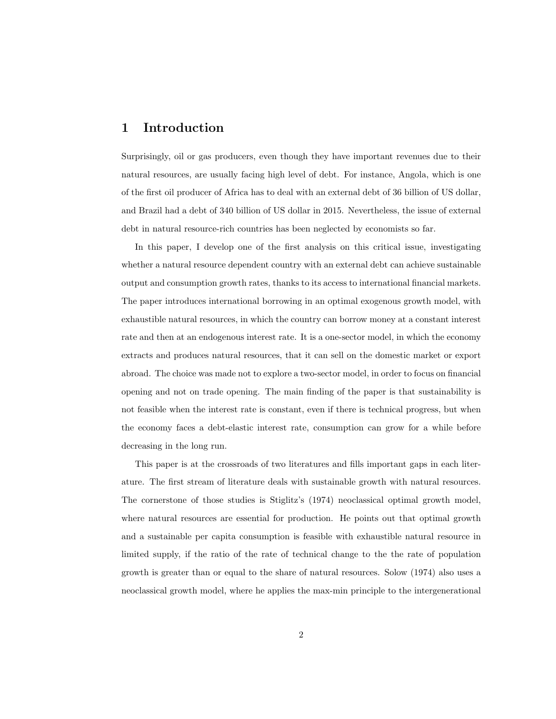### 1 Introduction

Surprisingly, oil or gas producers, even though they have important revenues due to their natural resources, are usually facing high level of debt. For instance, Angola, which is one of the first oil producer of Africa has to deal with an external debt of 36 billion of US dollar, and Brazil had a debt of 340 billion of US dollar in 2015. Nevertheless, the issue of external debt in natural resource-rich countries has been neglected by economists so far.

In this paper, I develop one of the first analysis on this critical issue, investigating whether a natural resource dependent country with an external debt can achieve sustainable output and consumption growth rates, thanks to its access to international financial markets. The paper introduces international borrowing in an optimal exogenous growth model, with exhaustible natural resources, in which the country can borrow money at a constant interest rate and then at an endogenous interest rate. It is a one-sector model, in which the economy extracts and produces natural resources, that it can sell on the domestic market or export abroad. The choice was made not to explore a two-sector model, in order to focus on financial opening and not on trade opening. The main finding of the paper is that sustainability is not feasible when the interest rate is constant, even if there is technical progress, but when the economy faces a debt-elastic interest rate, consumption can grow for a while before decreasing in the long run.

This paper is at the crossroads of two literatures and fills important gaps in each literature. The first stream of literature deals with sustainable growth with natural resources. The cornerstone of those studies is Stiglitz's (1974) neoclassical optimal growth model, where natural resources are essential for production. He points out that optimal growth and a sustainable per capita consumption is feasible with exhaustible natural resource in limited supply, if the ratio of the rate of technical change to the the rate of population growth is greater than or equal to the share of natural resources. Solow (1974) also uses a neoclassical growth model, where he applies the max-min principle to the intergenerational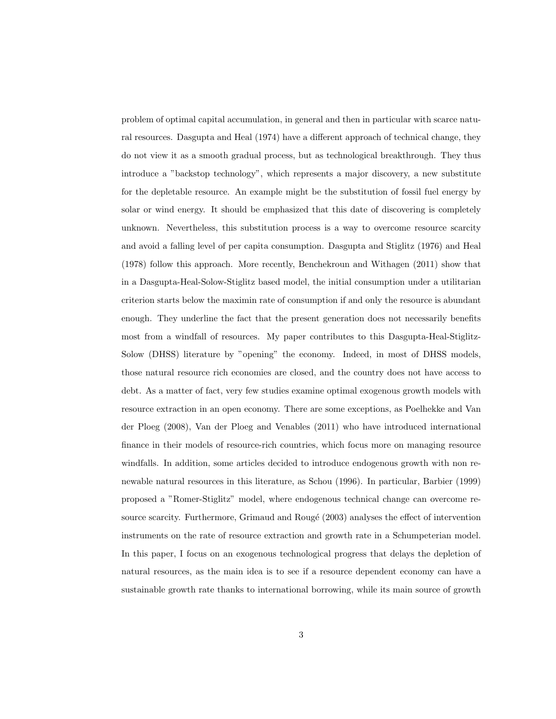problem of optimal capital accumulation, in general and then in particular with scarce natural resources. Dasgupta and Heal (1974) have a different approach of technical change, they do not view it as a smooth gradual process, but as technological breakthrough. They thus introduce a "backstop technology", which represents a major discovery, a new substitute for the depletable resource. An example might be the substitution of fossil fuel energy by solar or wind energy. It should be emphasized that this date of discovering is completely unknown. Nevertheless, this substitution process is a way to overcome resource scarcity and avoid a falling level of per capita consumption. Dasgupta and Stiglitz (1976) and Heal (1978) follow this approach. More recently, Benchekroun and Withagen (2011) show that in a Dasgupta-Heal-Solow-Stiglitz based model, the initial consumption under a utilitarian criterion starts below the maximin rate of consumption if and only the resource is abundant enough. They underline the fact that the present generation does not necessarily benefits most from a windfall of resources. My paper contributes to this Dasgupta-Heal-Stiglitz-Solow (DHSS) literature by "opening" the economy. Indeed, in most of DHSS models, those natural resource rich economies are closed, and the country does not have access to debt. As a matter of fact, very few studies examine optimal exogenous growth models with resource extraction in an open economy. There are some exceptions, as Poelhekke and Van der Ploeg (2008), Van der Ploeg and Venables (2011) who have introduced international finance in their models of resource-rich countries, which focus more on managing resource windfalls. In addition, some articles decided to introduce endogenous growth with non renewable natural resources in this literature, as Schou (1996). In particular, Barbier (1999) proposed a "Romer-Stiglitz" model, where endogenous technical change can overcome resource scarcity. Furthermore, Grimaud and Rougé  $(2003)$  analyses the effect of intervention instruments on the rate of resource extraction and growth rate in a Schumpeterian model. In this paper, I focus on an exogenous technological progress that delays the depletion of natural resources, as the main idea is to see if a resource dependent economy can have a sustainable growth rate thanks to international borrowing, while its main source of growth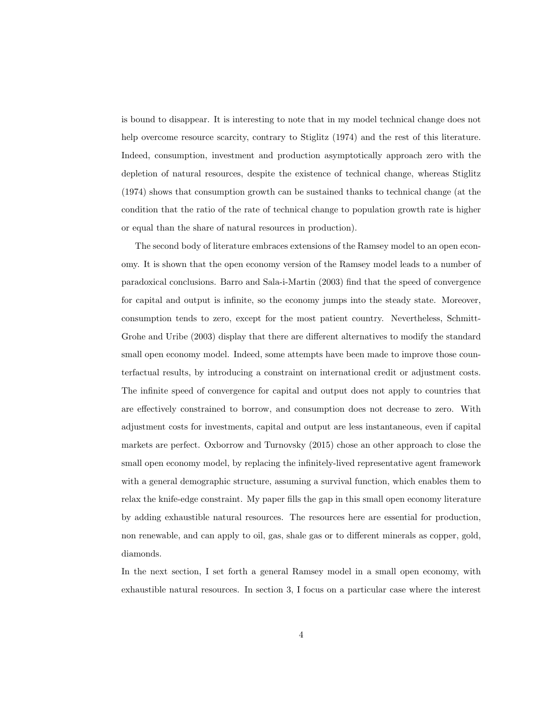is bound to disappear. It is interesting to note that in my model technical change does not help overcome resource scarcity, contrary to Stiglitz (1974) and the rest of this literature. Indeed, consumption, investment and production asymptotically approach zero with the depletion of natural resources, despite the existence of technical change, whereas Stiglitz (1974) shows that consumption growth can be sustained thanks to technical change (at the condition that the ratio of the rate of technical change to population growth rate is higher or equal than the share of natural resources in production).

The second body of literature embraces extensions of the Ramsey model to an open economy. It is shown that the open economy version of the Ramsey model leads to a number of paradoxical conclusions. Barro and Sala-i-Martin (2003) find that the speed of convergence for capital and output is infinite, so the economy jumps into the steady state. Moreover, consumption tends to zero, except for the most patient country. Nevertheless, Schmitt-Grohe and Uribe (2003) display that there are different alternatives to modify the standard small open economy model. Indeed, some attempts have been made to improve those counterfactual results, by introducing a constraint on international credit or adjustment costs. The infinite speed of convergence for capital and output does not apply to countries that are effectively constrained to borrow, and consumption does not decrease to zero. With adjustment costs for investments, capital and output are less instantaneous, even if capital markets are perfect. Oxborrow and Turnovsky (2015) chose an other approach to close the small open economy model, by replacing the infinitely-lived representative agent framework with a general demographic structure, assuming a survival function, which enables them to relax the knife-edge constraint. My paper fills the gap in this small open economy literature by adding exhaustible natural resources. The resources here are essential for production, non renewable, and can apply to oil, gas, shale gas or to different minerals as copper, gold, diamonds.

In the next section, I set forth a general Ramsey model in a small open economy, with exhaustible natural resources. In section 3, I focus on a particular case where the interest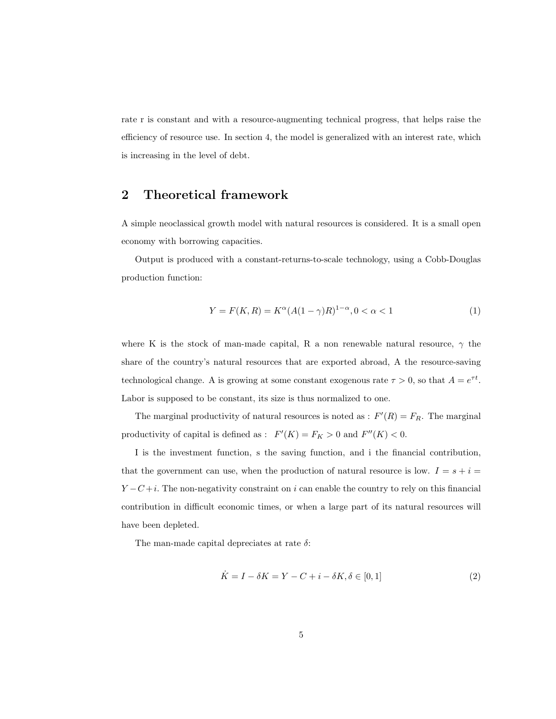rate r is constant and with a resource-augmenting technical progress, that helps raise the efficiency of resource use. In section 4, the model is generalized with an interest rate, which is increasing in the level of debt.

### 2 Theoretical framework

A simple neoclassical growth model with natural resources is considered. It is a small open economy with borrowing capacities.

Output is produced with a constant-returns-to-scale technology, using a Cobb-Douglas production function:

$$
Y = F(K, R) = K^{\alpha} (A(1 - \gamma)R)^{1 - \alpha}, 0 < \alpha < 1
$$
 (1)

where K is the stock of man-made capital, R a non renewable natural resource,  $\gamma$  the share of the country's natural resources that are exported abroad, A the resource-saving technological change. A is growing at some constant exogenous rate  $\tau > 0$ , so that  $A = e^{\tau t}$ . Labor is supposed to be constant, its size is thus normalized to one.

The marginal productivity of natural resources is noted as :  $F'(R) = F_R$ . The marginal productivity of capital is defined as :  $F'(K) = F_K > 0$  and  $F''(K) < 0$ .

I is the investment function, s the saving function, and i the financial contribution, that the government can use, when the production of natural resource is low.  $I = s + i =$  $Y - C + i$ . The non-negativity constraint on i can enable the country to rely on this financial contribution in difficult economic times, or when a large part of its natural resources will have been depleted.

The man-made capital depreciates at rate  $\delta$ :

$$
\dot{K} = I - \delta K = Y - C + i - \delta K, \delta \in [0, 1]
$$
\n<sup>(2)</sup>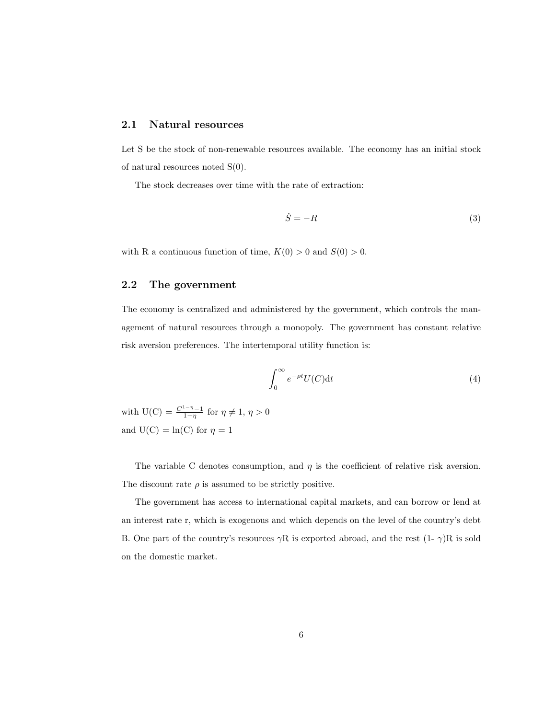#### 2.1 Natural resources

Let S be the stock of non-renewable resources available. The economy has an initial stock of natural resources noted S(0).

The stock decreases over time with the rate of extraction:

$$
\dot{S} = -R\tag{3}
$$

with R a continuous function of time,  $K(0) > 0$  and  $S(0) > 0$ .

### 2.2 The government

The economy is centralized and administered by the government, which controls the management of natural resources through a monopoly. The government has constant relative risk aversion preferences. The intertemporal utility function is:

$$
\int_0^\infty e^{-\rho t} U(C) \mathrm{d}t\tag{4}
$$

with  $U(C) = \frac{C^{1-\eta}-1}{1-\eta}$  for  $\eta \neq 1, \eta > 0$ and  $U(C) = \ln(C)$  for  $\eta = 1$ 

The variable C denotes consumption, and  $\eta$  is the coefficient of relative risk aversion. The discount rate  $\rho$  is assumed to be strictly positive.

The government has access to international capital markets, and can borrow or lend at an interest rate r, which is exogenous and which depends on the level of the country's debt B. One part of the country's resources  $\gamma R$  is exported abroad, and the rest  $(1-\gamma)R$  is sold on the domestic market.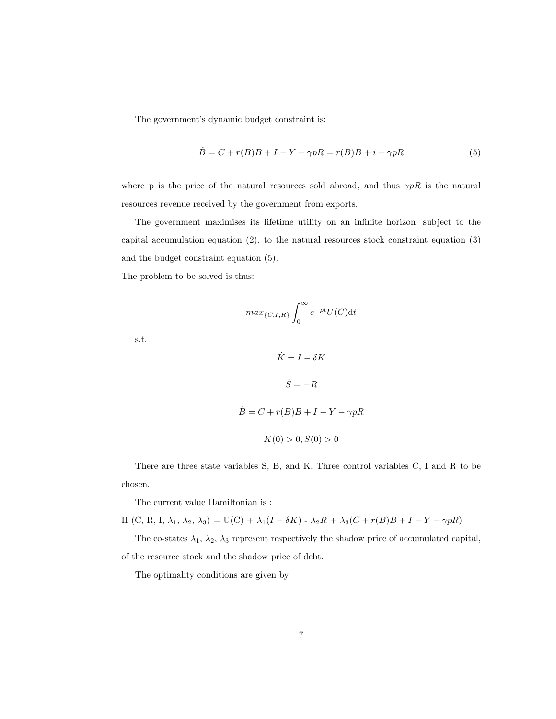The government's dynamic budget constraint is:

$$
\dot{B} = C + r(B)B + I - Y - \gamma pR = r(B)B + i - \gamma pR \tag{5}
$$

where p is the price of the natural resources sold abroad, and thus  $\gamma pR$  is the natural resources revenue received by the government from exports.

The government maximises its lifetime utility on an infinite horizon, subject to the capital accumulation equation  $(2)$ , to the natural resources stock constraint equation  $(3)$ and the budget constraint equation (5).

The problem to be solved is thus:

$$
max_{\{C,I,R\}} \int_0^\infty e^{-\rho t} U(C) \mathrm{d} t
$$

s.t.

$$
\dot{K} = I - \delta K
$$

$$
\dot{S} = -R
$$

$$
\dot{B} = C + r(B)B + I - Y - \gamma pR
$$

$$
K(0) > 0, S(0) > 0
$$

There are three state variables S, B, and K. Three control variables C, I and R to be chosen.

The current value Hamiltonian is :

H (C, R, I,  $\lambda_1$ ,  $\lambda_2$ ,  $\lambda_3$ ) = U(C) +  $\lambda_1(I - \delta K)$  -  $\lambda_2 R$  +  $\lambda_3(C + r(B)B + I - Y - \gamma pR)$ 

The co-states  $\lambda_1$ ,  $\lambda_2$ ,  $\lambda_3$  represent respectively the shadow price of accumulated capital, of the resource stock and the shadow price of debt.

The optimality conditions are given by: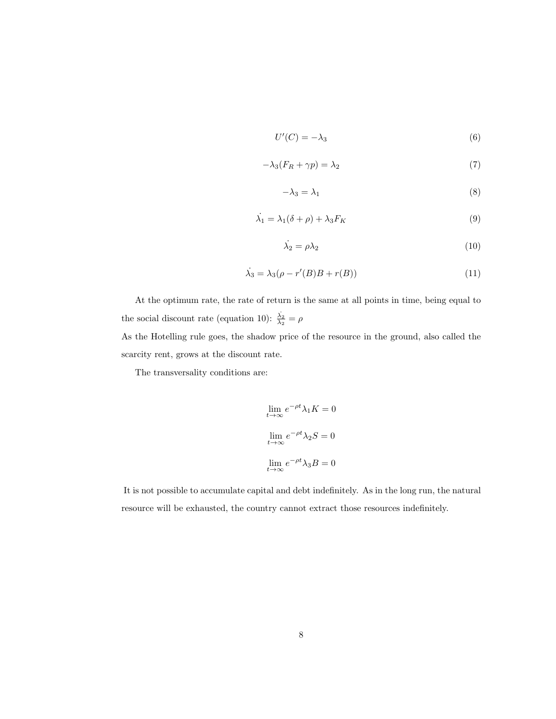$$
U'(C) = -\lambda_3 \tag{6}
$$

$$
-\lambda_3(F_R + \gamma p) = \lambda_2\tag{7}
$$

$$
-\lambda_3 = \lambda_1 \tag{8}
$$

$$
\dot{\lambda_1} = \lambda_1(\delta + \rho) + \lambda_3 F_K \tag{9}
$$

$$
\dot{\lambda_2} = \rho \lambda_2 \tag{10}
$$

$$
\dot{\lambda}_3 = \lambda_3(\rho - r'(B)B + r(B))\tag{11}
$$

At the optimum rate, the rate of return is the same at all points in time, being equal to the social discount rate (equation 10):  $\frac{\dot{\lambda}_2}{\lambda_2} = \rho$ As the Hotelling rule goes, the shadow price of the resource in the ground, also called the

scarcity rent, grows at the discount rate. The transversality conditions are:

$$
\lim_{t \to \infty} e^{-\rho t} \lambda_1 K = 0
$$
  

$$
\lim_{t \to \infty} e^{-\rho t} \lambda_2 S = 0
$$
  

$$
\lim_{t \to \infty} e^{-\rho t} \lambda_3 B = 0
$$

It is not possible to accumulate capital and debt indefinitely. As in the long run, the natural resource will be exhausted, the country cannot extract those resources indefinitely.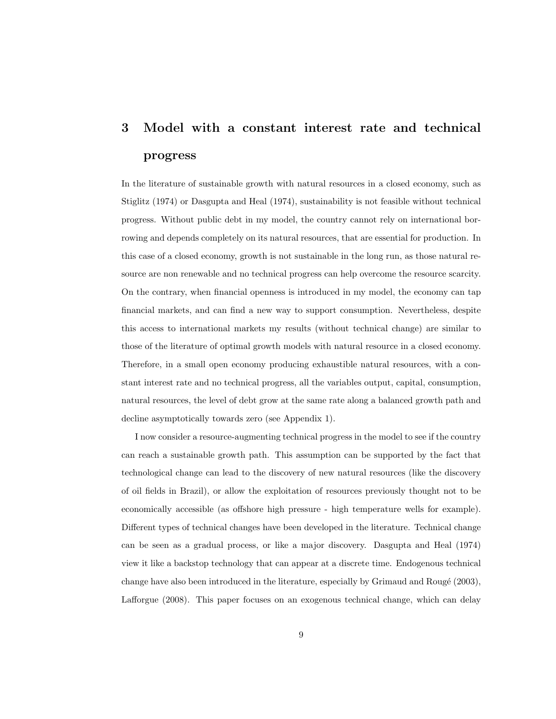# 3 Model with a constant interest rate and technical progress

In the literature of sustainable growth with natural resources in a closed economy, such as Stiglitz (1974) or Dasgupta and Heal (1974), sustainability is not feasible without technical progress. Without public debt in my model, the country cannot rely on international borrowing and depends completely on its natural resources, that are essential for production. In this case of a closed economy, growth is not sustainable in the long run, as those natural resource are non renewable and no technical progress can help overcome the resource scarcity. On the contrary, when financial openness is introduced in my model, the economy can tap financial markets, and can find a new way to support consumption. Nevertheless, despite this access to international markets my results (without technical change) are similar to those of the literature of optimal growth models with natural resource in a closed economy. Therefore, in a small open economy producing exhaustible natural resources, with a constant interest rate and no technical progress, all the variables output, capital, consumption, natural resources, the level of debt grow at the same rate along a balanced growth path and decline asymptotically towards zero (see Appendix 1).

I now consider a resource-augmenting technical progress in the model to see if the country can reach a sustainable growth path. This assumption can be supported by the fact that technological change can lead to the discovery of new natural resources (like the discovery of oil fields in Brazil), or allow the exploitation of resources previously thought not to be economically accessible (as offshore high pressure - high temperature wells for example). Different types of technical changes have been developed in the literature. Technical change can be seen as a gradual process, or like a major discovery. Dasgupta and Heal (1974) view it like a backstop technology that can appear at a discrete time. Endogenous technical change have also been introduced in the literature, especially by Grimaud and Rougé (2003), Lafforgue (2008). This paper focuses on an exogenous technical change, which can delay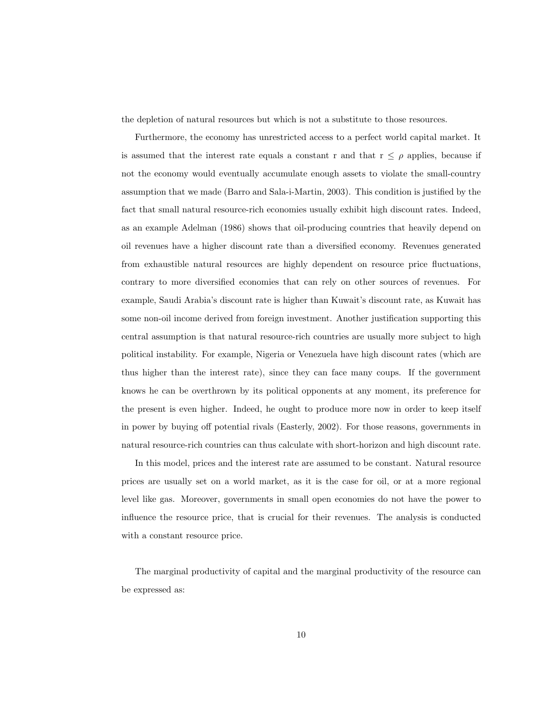the depletion of natural resources but which is not a substitute to those resources.

Furthermore, the economy has unrestricted access to a perfect world capital market. It is assumed that the interest rate equals a constant r and that  $r \leq \rho$  applies, because if not the economy would eventually accumulate enough assets to violate the small-country assumption that we made (Barro and Sala-i-Martin, 2003). This condition is justified by the fact that small natural resource-rich economies usually exhibit high discount rates. Indeed, as an example Adelman (1986) shows that oil-producing countries that heavily depend on oil revenues have a higher discount rate than a diversified economy. Revenues generated from exhaustible natural resources are highly dependent on resource price fluctuations, contrary to more diversified economies that can rely on other sources of revenues. For example, Saudi Arabia's discount rate is higher than Kuwait's discount rate, as Kuwait has some non-oil income derived from foreign investment. Another justification supporting this central assumption is that natural resource-rich countries are usually more subject to high political instability. For example, Nigeria or Venezuela have high discount rates (which are thus higher than the interest rate), since they can face many coups. If the government knows he can be overthrown by its political opponents at any moment, its preference for the present is even higher. Indeed, he ought to produce more now in order to keep itself in power by buying off potential rivals (Easterly, 2002). For those reasons, governments in natural resource-rich countries can thus calculate with short-horizon and high discount rate.

In this model, prices and the interest rate are assumed to be constant. Natural resource prices are usually set on a world market, as it is the case for oil, or at a more regional level like gas. Moreover, governments in small open economies do not have the power to influence the resource price, that is crucial for their revenues. The analysis is conducted with a constant resource price.

The marginal productivity of capital and the marginal productivity of the resource can be expressed as: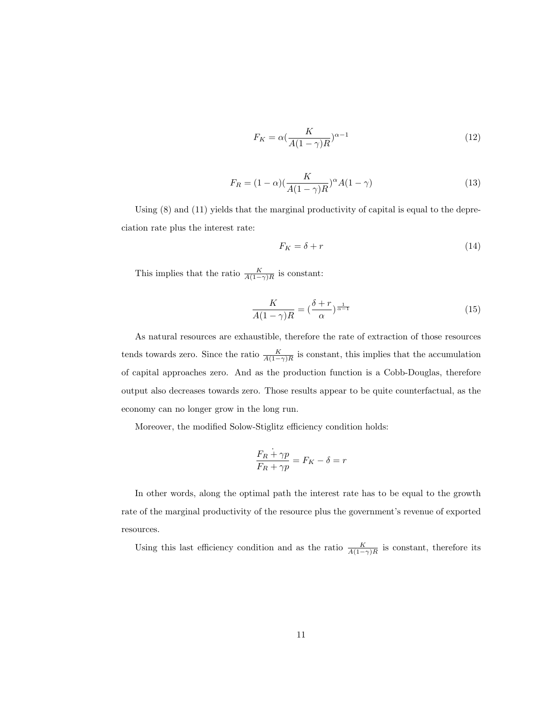$$
F_K = \alpha \left(\frac{K}{A(1-\gamma)R}\right)^{\alpha-1} \tag{12}
$$

$$
F_R = (1 - \alpha) \left(\frac{K}{A(1 - \gamma)R}\right)^{\alpha} A(1 - \gamma)
$$
\n(13)

Using (8) and (11) yields that the marginal productivity of capital is equal to the depreciation rate plus the interest rate:

$$
F_K = \delta + r \tag{14}
$$

This implies that the ratio  $\frac{K}{A(1-\gamma)R}$  is constant:

$$
\frac{K}{A(1-\gamma)R} = \left(\frac{\delta+r}{\alpha}\right)^{\frac{1}{\alpha-1}}\tag{15}
$$

As natural resources are exhaustible, therefore the rate of extraction of those resources tends towards zero. Since the ratio  $\frac{K}{A(1-\gamma)R}$  is constant, this implies that the accumulation of capital approaches zero. And as the production function is a Cobb-Douglas, therefore output also decreases towards zero. Those results appear to be quite counterfactual, as the economy can no longer grow in the long run.

Moreover, the modified Solow-Stiglitz efficiency condition holds:

$$
\frac{F_R \dotplus \gamma p}{F_R + \gamma p} = F_K - \delta = r
$$

In other words, along the optimal path the interest rate has to be equal to the growth rate of the marginal productivity of the resource plus the government's revenue of exported resources.

Using this last efficiency condition and as the ratio  $\frac{K}{A(1-\gamma)R}$  is constant, therefore its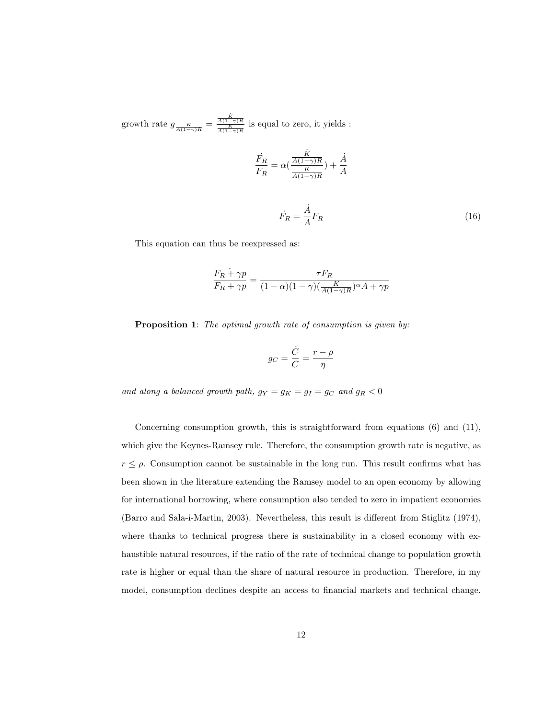growth rate  $g_{\frac{K}{A(1-\gamma)R}} = \frac{\frac{\dot{K}}{A(1-\gamma)R}}{\frac{K}{A(1-\gamma)R}}$  is equal to zero, it yields :

$$
\frac{\dot{F}_R}{F_R} = \alpha \left( \frac{\frac{\dot{K}}{A(1-\gamma)R}}{\frac{K}{A(1-\gamma)R}} \right) + \frac{\dot{A}}{A}
$$
\n
$$
\dot{F}_R = \frac{\dot{A}}{A} F_R \tag{16}
$$

This equation can thus be reexpressed as:

$$
\frac{F_R + \gamma p}{F_R + \gamma p} = \frac{\tau F_R}{(1 - \alpha)(1 - \gamma)\left(\frac{K}{A(1 - \gamma)R}\right)^{\alpha}A + \gamma p}
$$

Proposition 1: The optimal growth rate of consumption is given by:

$$
g_C = \frac{\dot{C}}{C} = \frac{r - \rho}{\eta}
$$

and along a balanced growth path,  $g_Y = g_K = g_I = g_C$  and  $g_R < 0$ 

Concerning consumption growth, this is straightforward from equations (6) and (11), which give the Keynes-Ramsey rule. Therefore, the consumption growth rate is negative, as  $r \leq \rho$ . Consumption cannot be sustainable in the long run. This result confirms what has been shown in the literature extending the Ramsey model to an open economy by allowing for international borrowing, where consumption also tended to zero in impatient economies (Barro and Sala-i-Martin, 2003). Nevertheless, this result is different from Stiglitz (1974), where thanks to technical progress there is sustainability in a closed economy with exhaustible natural resources, if the ratio of the rate of technical change to population growth rate is higher or equal than the share of natural resource in production. Therefore, in my model, consumption declines despite an access to financial markets and technical change.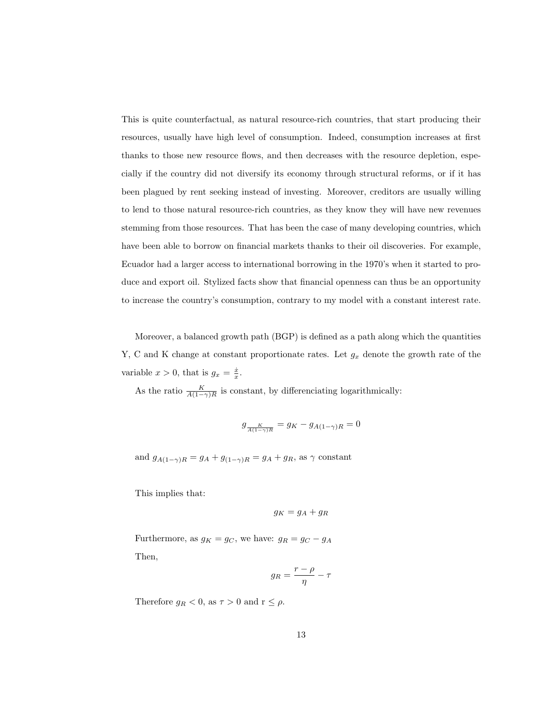This is quite counterfactual, as natural resource-rich countries, that start producing their resources, usually have high level of consumption. Indeed, consumption increases at first thanks to those new resource flows, and then decreases with the resource depletion, especially if the country did not diversify its economy through structural reforms, or if it has been plagued by rent seeking instead of investing. Moreover, creditors are usually willing to lend to those natural resource-rich countries, as they know they will have new revenues stemming from those resources. That has been the case of many developing countries, which have been able to borrow on financial markets thanks to their oil discoveries. For example, Ecuador had a larger access to international borrowing in the 1970's when it started to produce and export oil. Stylized facts show that financial openness can thus be an opportunity to increase the country's consumption, contrary to my model with a constant interest rate.

Moreover, a balanced growth path (BGP) is defined as a path along which the quantities Y, C and K change at constant proportionate rates. Let  $g_x$  denote the growth rate of the variable  $x > 0$ , that is  $g_x = \frac{\dot{x}}{x}$ .

As the ratio  $\frac{K}{A(1-\gamma)R}$  is constant, by differenciating logarithmically:

$$
g_{\frac{K}{A(1-\gamma)R}} = g_K - g_{A(1-\gamma)R} = 0
$$

and  $g_{A(1-\gamma)R} = g_A + g_{(1-\gamma)R} = g_A + g_R$ , as  $\gamma$  constant

This implies that:

$$
g_K = g_A + g_R
$$

Furthermore, as  $g_K = g_C$ , we have:  $g_R = g_C - g_A$ Then,

$$
g_R = \frac{r - \rho}{\eta} - \tau
$$

Therefore  $g_R < 0$ , as  $\tau > 0$  and  $r \leq \rho$ .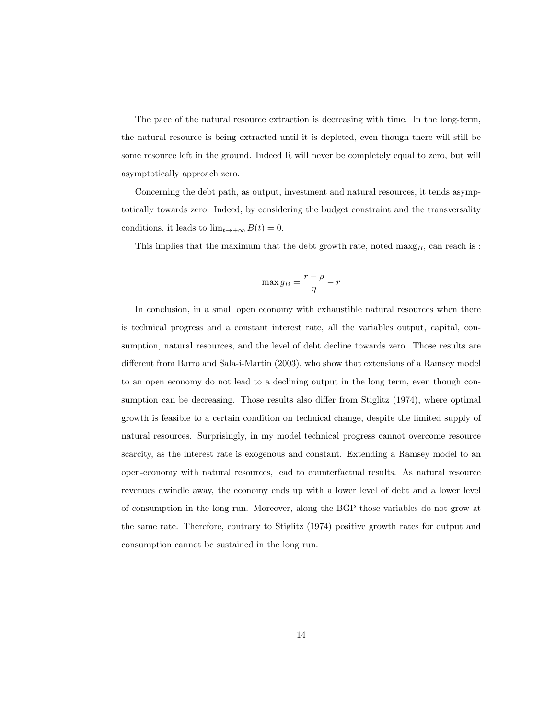The pace of the natural resource extraction is decreasing with time. In the long-term, the natural resource is being extracted until it is depleted, even though there will still be some resource left in the ground. Indeed R will never be completely equal to zero, but will asymptotically approach zero.

Concerning the debt path, as output, investment and natural resources, it tends asymptotically towards zero. Indeed, by considering the budget constraint and the transversality conditions, it leads to  $\lim_{t\to+\infty} B(t) = 0$ .

This implies that the maximum that the debt growth rate, noted  $\max_{B}$ , can reach is :

$$
\max g_B = \frac{r - \rho}{\eta} - r
$$

In conclusion, in a small open economy with exhaustible natural resources when there is technical progress and a constant interest rate, all the variables output, capital, consumption, natural resources, and the level of debt decline towards zero. Those results are different from Barro and Sala-i-Martin (2003), who show that extensions of a Ramsey model to an open economy do not lead to a declining output in the long term, even though consumption can be decreasing. Those results also differ from Stiglitz (1974), where optimal growth is feasible to a certain condition on technical change, despite the limited supply of natural resources. Surprisingly, in my model technical progress cannot overcome resource scarcity, as the interest rate is exogenous and constant. Extending a Ramsey model to an open-economy with natural resources, lead to counterfactual results. As natural resource revenues dwindle away, the economy ends up with a lower level of debt and a lower level of consumption in the long run. Moreover, along the BGP those variables do not grow at the same rate. Therefore, contrary to Stiglitz (1974) positive growth rates for output and consumption cannot be sustained in the long run.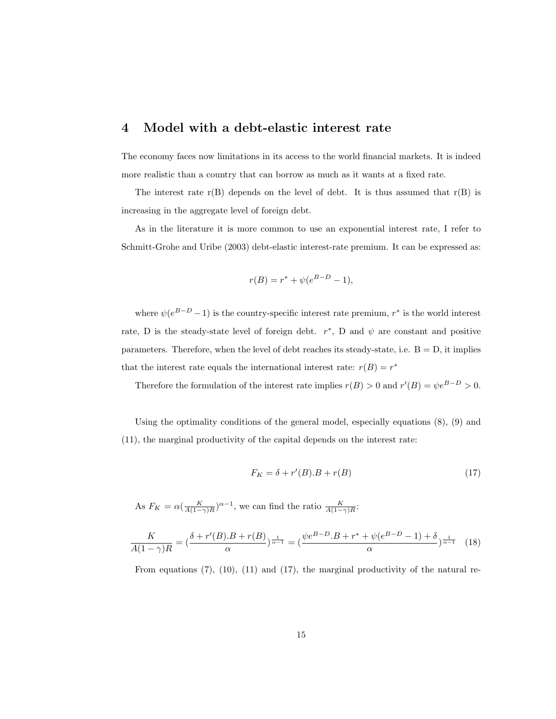### 4 Model with a debt-elastic interest rate

The economy faces now limitations in its access to the world financial markets. It is indeed more realistic than a country that can borrow as much as it wants at a fixed rate.

The interest rate  $r(B)$  depends on the level of debt. It is thus assumed that  $r(B)$  is increasing in the aggregate level of foreign debt.

As in the literature it is more common to use an exponential interest rate, I refer to Schmitt-Grohe and Uribe (2003) debt-elastic interest-rate premium. It can be expressed as:

$$
r(B) = r^* + \psi(e^{B-D} - 1),
$$

where  $\psi(e^{B-D}-1)$  is the country-specific interest rate premium, r<sup>\*</sup> is the world interest rate, D is the steady-state level of foreign debt.  $r^*$ , D and  $\psi$  are constant and positive parameters. Therefore, when the level of debt reaches its steady-state, i.e.  $B = D$ , it implies that the interest rate equals the international interest rate:  $r(B) = r^*$ 

Therefore the formulation of the interest rate implies  $r(B) > 0$  and  $r'(B) = \psi e^{B-D} > 0$ .

Using the optimality conditions of the general model, especially equations (8), (9) and (11), the marginal productivity of the capital depends on the interest rate:

$$
F_K = \delta + r'(B) \cdot B + r(B) \tag{17}
$$

As  $F_K = \alpha \left( \frac{K}{A(1-\gamma)R} \right)^{\alpha-1}$ , we can find the ratio  $\frac{K}{A(1-\gamma)R}$ :

$$
\frac{K}{A(1-\gamma)R} = \left(\frac{\delta + r'(B) \cdot B + r(B)}{\alpha}\right)^{\frac{1}{\alpha - 1}} = \left(\frac{\psi e^{B - D} \cdot B + r^* + \psi(e^{B - D} - 1) + \delta}{\alpha}\right)^{\frac{1}{\alpha - 1}} \tag{18}
$$

From equations  $(7)$ ,  $(10)$ ,  $(11)$  and  $(17)$ , the marginal productivity of the natural re-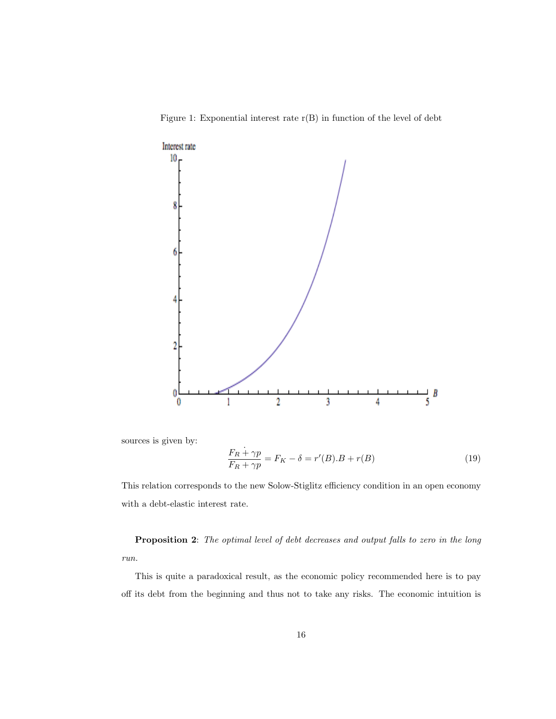



sources is given by:

$$
\frac{F_R + \gamma p}{F_R + \gamma p} = F_K - \delta = r'(B).B + r(B)
$$
\n(19)

This relation corresponds to the new Solow-Stiglitz efficiency condition in an open economy with a debt-elastic interest rate.

Proposition 2: The optimal level of debt decreases and output falls to zero in the long run.

This is quite a paradoxical result, as the economic policy recommended here is to pay off its debt from the beginning and thus not to take any risks. The economic intuition is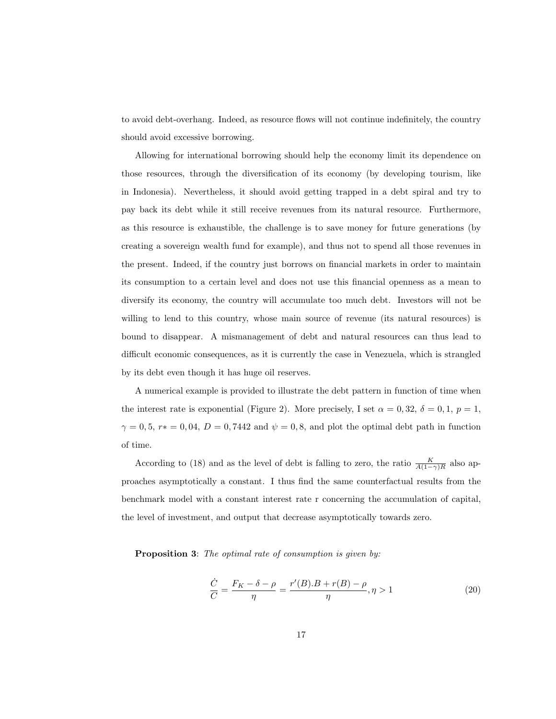to avoid debt-overhang. Indeed, as resource flows will not continue indefinitely, the country should avoid excessive borrowing.

Allowing for international borrowing should help the economy limit its dependence on those resources, through the diversification of its economy (by developing tourism, like in Indonesia). Nevertheless, it should avoid getting trapped in a debt spiral and try to pay back its debt while it still receive revenues from its natural resource. Furthermore, as this resource is exhaustible, the challenge is to save money for future generations (by creating a sovereign wealth fund for example), and thus not to spend all those revenues in the present. Indeed, if the country just borrows on financial markets in order to maintain its consumption to a certain level and does not use this financial openness as a mean to diversify its economy, the country will accumulate too much debt. Investors will not be willing to lend to this country, whose main source of revenue (its natural resources) is bound to disappear. A mismanagement of debt and natural resources can thus lead to difficult economic consequences, as it is currently the case in Venezuela, which is strangled by its debt even though it has huge oil reserves.

A numerical example is provided to illustrate the debt pattern in function of time when the interest rate is exponential (Figure 2). More precisely, I set  $\alpha = 0, 32, \delta = 0, 1, p = 1$ ,  $\gamma = 0, 5, r* = 0, 04, D = 0, 7442$  and  $\psi = 0, 8$ , and plot the optimal debt path in function of time.

According to (18) and as the level of debt is falling to zero, the ratio  $\frac{K}{A(1-\gamma)R}$  also approaches asymptotically a constant. I thus find the same counterfactual results from the benchmark model with a constant interest rate r concerning the accumulation of capital, the level of investment, and output that decrease asymptotically towards zero.

**Proposition 3:** The optimal rate of consumption is given by:

$$
\frac{\dot{C}}{C} = \frac{F_K - \delta - \rho}{\eta} = \frac{r'(B) \cdot B + r(B) - \rho}{\eta}, \eta > 1
$$
\n(20)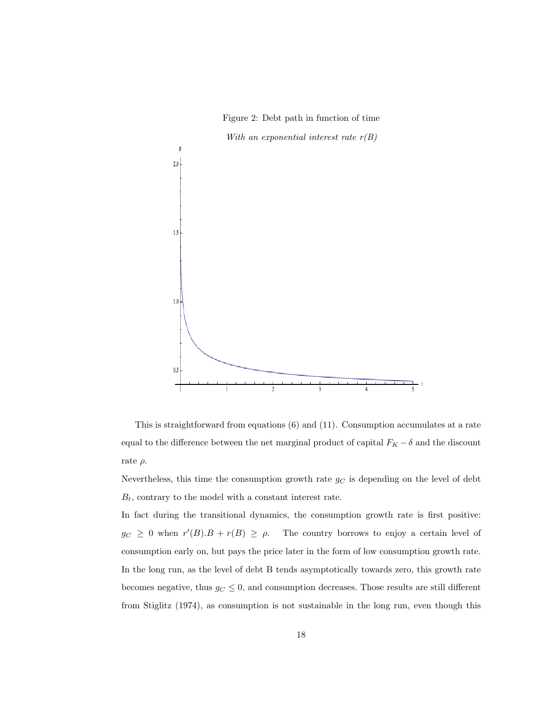

This is straightforward from equations (6) and (11). Consumption accumulates at a rate equal to the difference between the net marginal product of capital  $F_K - \delta$  and the discount rate  $\rho$ .

Nevertheless, this time the consumption growth rate  $g_C$  is depending on the level of debt  $B_t$ , contrary to the model with a constant interest rate.

In fact during the transitional dynamics, the consumption growth rate is first positive:  $g_C \geq 0$  when  $r'(B) \cdot B + r(B) \geq \rho$ . The country borrows to enjoy a certain level of consumption early on, but pays the price later in the form of low consumption growth rate. In the long run, as the level of debt B tends asymptotically towards zero, this growth rate becomes negative, thus  $g_C \leq 0$ , and consumption decreases. Those results are still different from Stiglitz (1974), as consumption is not sustainable in the long run, even though this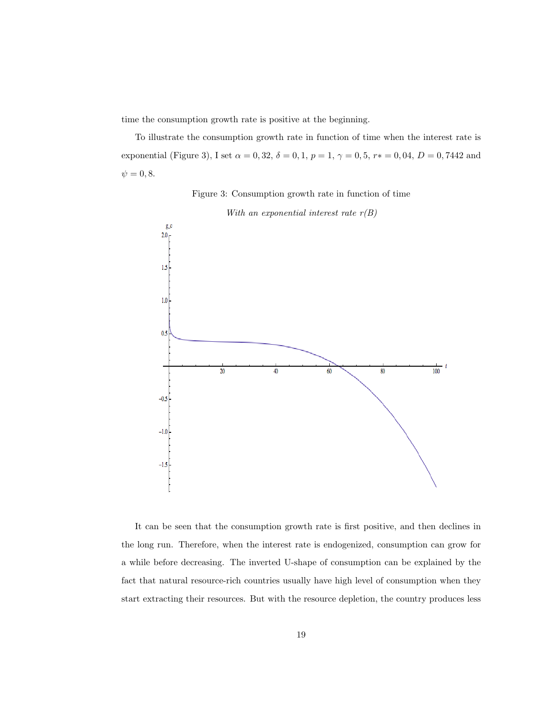time the consumption growth rate is positive at the beginning.

To illustrate the consumption growth rate in function of time when the interest rate is exponential (Figure 3), I set  $\alpha = 0, 32, \delta = 0, 1, \, p = 1, \, \gamma = 0, 5, \, r*=0, 04, \, D=0, 7442$  and  $\psi = 0, 8.$ 

Figure 3: Consumption growth rate in function of time



With an exponential interest rate  $r(B)$ 

It can be seen that the consumption growth rate is first positive, and then declines in the long run. Therefore, when the interest rate is endogenized, consumption can grow for a while before decreasing. The inverted U-shape of consumption can be explained by the fact that natural resource-rich countries usually have high level of consumption when they start extracting their resources. But with the resource depletion, the country produces less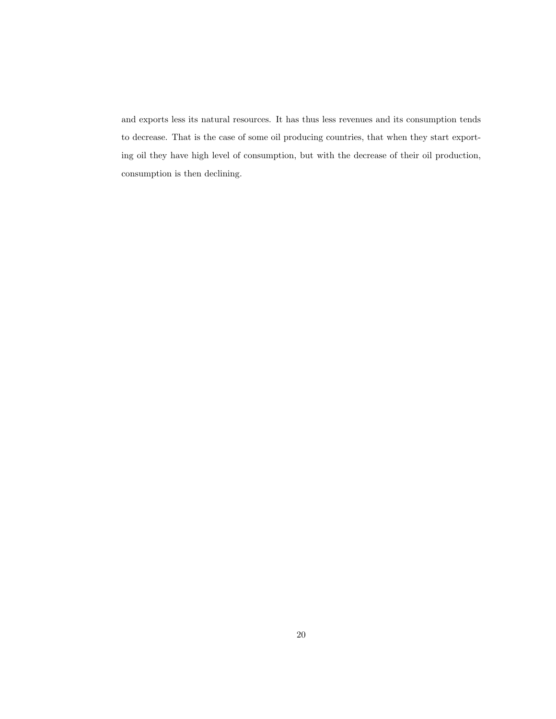and exports less its natural resources. It has thus less revenues and its consumption tends to decrease. That is the case of some oil producing countries, that when they start exporting oil they have high level of consumption, but with the decrease of their oil production, consumption is then declining.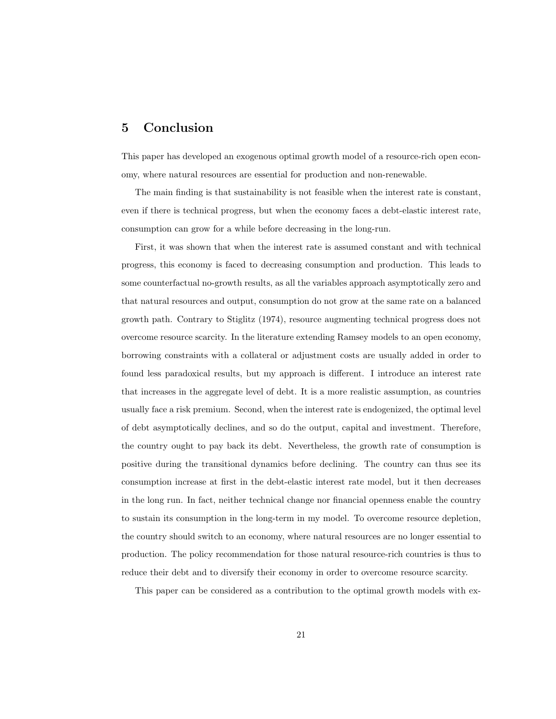### 5 Conclusion

This paper has developed an exogenous optimal growth model of a resource-rich open economy, where natural resources are essential for production and non-renewable.

The main finding is that sustainability is not feasible when the interest rate is constant, even if there is technical progress, but when the economy faces a debt-elastic interest rate, consumption can grow for a while before decreasing in the long-run.

First, it was shown that when the interest rate is assumed constant and with technical progress, this economy is faced to decreasing consumption and production. This leads to some counterfactual no-growth results, as all the variables approach asymptotically zero and that natural resources and output, consumption do not grow at the same rate on a balanced growth path. Contrary to Stiglitz (1974), resource augmenting technical progress does not overcome resource scarcity. In the literature extending Ramsey models to an open economy, borrowing constraints with a collateral or adjustment costs are usually added in order to found less paradoxical results, but my approach is different. I introduce an interest rate that increases in the aggregate level of debt. It is a more realistic assumption, as countries usually face a risk premium. Second, when the interest rate is endogenized, the optimal level of debt asymptotically declines, and so do the output, capital and investment. Therefore, the country ought to pay back its debt. Nevertheless, the growth rate of consumption is positive during the transitional dynamics before declining. The country can thus see its consumption increase at first in the debt-elastic interest rate model, but it then decreases in the long run. In fact, neither technical change nor financial openness enable the country to sustain its consumption in the long-term in my model. To overcome resource depletion, the country should switch to an economy, where natural resources are no longer essential to production. The policy recommendation for those natural resource-rich countries is thus to reduce their debt and to diversify their economy in order to overcome resource scarcity.

This paper can be considered as a contribution to the optimal growth models with ex-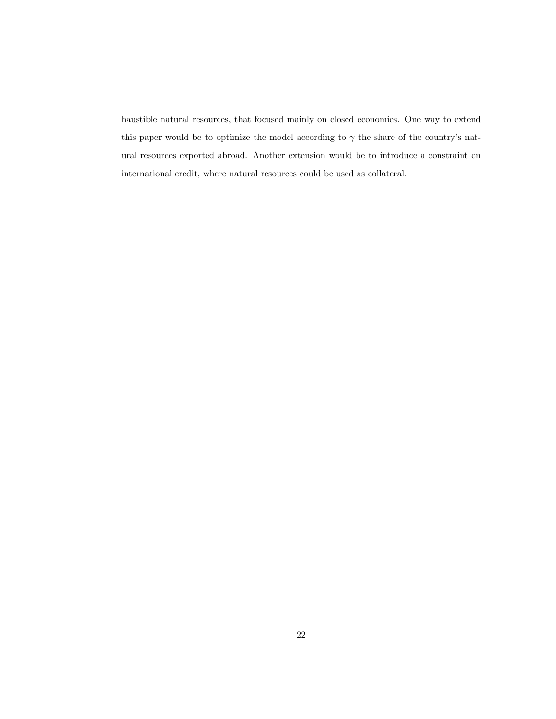haustible natural resources, that focused mainly on closed economies. One way to extend this paper would be to optimize the model according to  $\gamma$  the share of the country's natural resources exported abroad. Another extension would be to introduce a constraint on international credit, where natural resources could be used as collateral.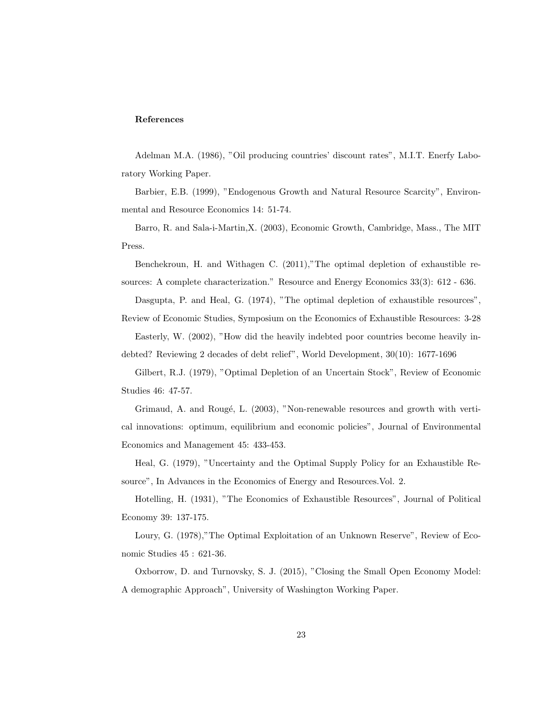#### References

Adelman M.A. (1986), "Oil producing countries' discount rates", M.I.T. Enerfy Laboratory Working Paper.

Barbier, E.B. (1999), "Endogenous Growth and Natural Resource Scarcity", Environmental and Resource Economics 14: 51-74.

Barro, R. and Sala-i-Martin,X. (2003), Economic Growth, Cambridge, Mass., The MIT Press.

Benchekroun, H. and Withagen C. (2011),"The optimal depletion of exhaustible resources: A complete characterization." Resource and Energy Economics 33(3): 612 - 636.

Dasgupta, P. and Heal, G. (1974), "The optimal depletion of exhaustible resources",

Review of Economic Studies, Symposium on the Economics of Exhaustible Resources: 3-28

Easterly, W. (2002), "How did the heavily indebted poor countries become heavily indebted? Reviewing 2 decades of debt relief", World Development, 30(10): 1677-1696

Gilbert, R.J. (1979), "Optimal Depletion of an Uncertain Stock", Review of Economic Studies 46: 47-57.

Grimaud, A. and Rougé, L. (2003), "Non-renewable resources and growth with vertical innovations: optimum, equilibrium and economic policies", Journal of Environmental Economics and Management 45: 433-453.

Heal, G. (1979), "Uncertainty and the Optimal Supply Policy for an Exhaustible Resource", In Advances in the Economics of Energy and Resources.Vol. 2.

Hotelling, H. (1931), "The Economics of Exhaustible Resources", Journal of Political Economy 39: 137-175.

Loury, G. (1978),"The Optimal Exploitation of an Unknown Reserve", Review of Economic Studies 45 : 621-36.

Oxborrow, D. and Turnovsky, S. J. (2015), "Closing the Small Open Economy Model: A demographic Approach", University of Washington Working Paper.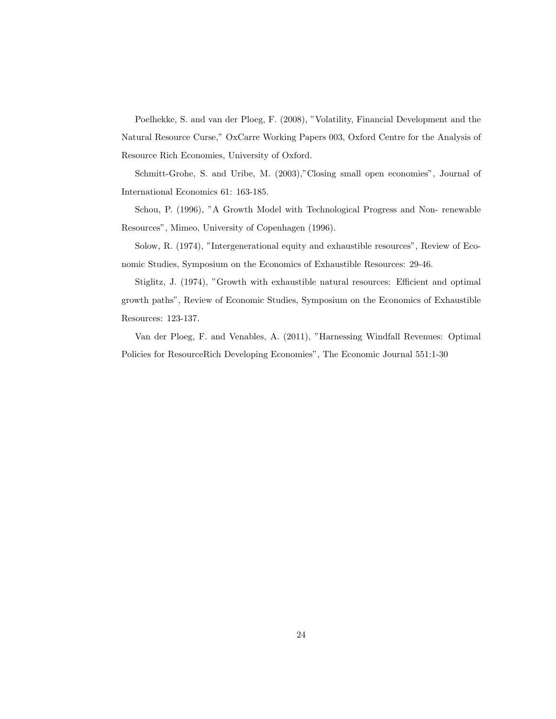Poelhekke, S. and van der Ploeg, F. (2008), "Volatility, Financial Development and the Natural Resource Curse," OxCarre Working Papers 003, Oxford Centre for the Analysis of Resource Rich Economies, University of Oxford.

Schmitt-Grohe, S. and Uribe, M. (2003),"Closing small open economies", Journal of International Economics 61: 163-185.

Schou, P. (1996), "A Growth Model with Technological Progress and Non- renewable Resources", Mimeo, University of Copenhagen (1996).

Solow, R. (1974), "Intergenerational equity and exhaustible resources", Review of Economic Studies, Symposium on the Economics of Exhaustible Resources: 29-46.

Stiglitz, J. (1974), "Growth with exhaustible natural resources: Efficient and optimal growth paths", Review of Economic Studies, Symposium on the Economics of Exhaustible Resources: 123-137.

Van der Ploeg, F. and Venables, A. (2011), "Harnessing Windfall Revenues: Optimal Policies for ResourceRich Developing Economies", The Economic Journal 551:1-30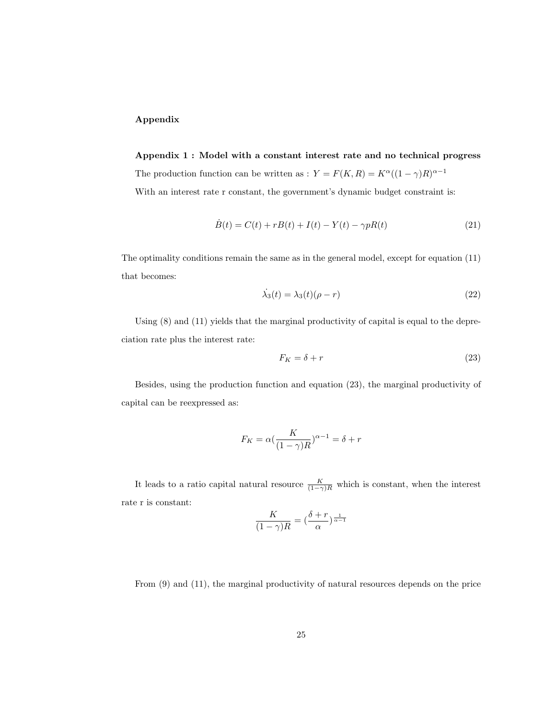#### Appendix

Appendix 1 : Model with a constant interest rate and no technical progress The production function can be written as :  $Y = F(K,R) = K^{\alpha}((1-\gamma)R)^{\alpha-1}$ 

With an interest rate r constant, the government's dynamic budget constraint is:

$$
\dot{B}(t) = C(t) + rB(t) + I(t) - Y(t) - \gamma pR(t)
$$
\n(21)

The optimality conditions remain the same as in the general model, except for equation (11) that becomes:

$$
\dot{\lambda}_3(t) = \lambda_3(t)(\rho - r) \tag{22}
$$

Using  $(8)$  and  $(11)$  yields that the marginal productivity of capital is equal to the depreciation rate plus the interest rate:

$$
F_K = \delta + r \tag{23}
$$

Besides, using the production function and equation (23), the marginal productivity of capital can be reexpressed as:

$$
F_K = \alpha \left(\frac{K}{(1-\gamma)R}\right)^{\alpha-1} = \delta + r
$$

It leads to a ratio capital natural resource  $\frac{K}{(1-\gamma)R}$  which is constant, when the interest rate r is constant:

$$
\frac{K}{(1-\gamma)R} = (\frac{\delta+r}{\alpha})^{\frac{1}{\alpha-1}}
$$

From (9) and (11), the marginal productivity of natural resources depends on the price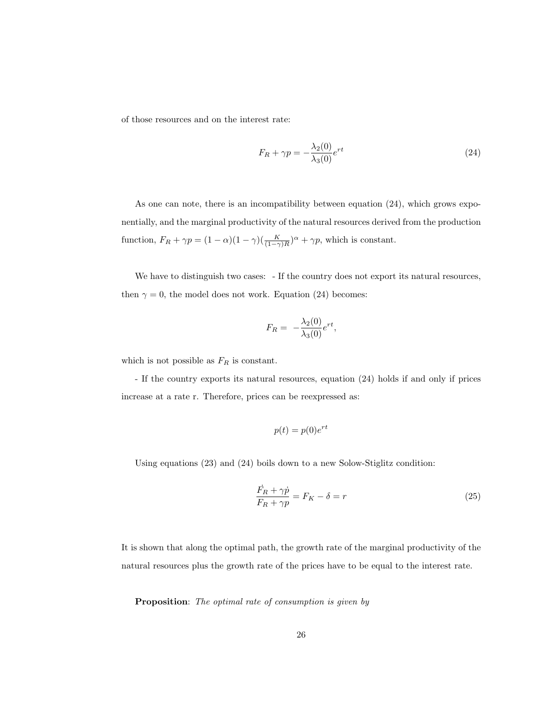of those resources and on the interest rate:

$$
F_R + \gamma p = -\frac{\lambda_2(0)}{\lambda_3(0)} e^{rt}
$$
\n(24)

As one can note, there is an incompatibility between equation (24), which grows exponentially, and the marginal productivity of the natural resources derived from the production function,  $F_R + \gamma p = (1 - \alpha)(1 - \gamma)(\frac{K}{(1 - \gamma)R})^{\alpha} + \gamma p$ , which is constant.

We have to distinguish two cases:  $-$  If the country does not export its natural resources, then  $\gamma = 0$ , the model does not work. Equation (24) becomes:

$$
F_R = -\frac{\lambda_2(0)}{\lambda_3(0)} e^{rt},
$$

which is not possible as  $\mathbb{F}_R$  is constant.

- If the country exports its natural resources, equation (24) holds if and only if prices increase at a rate r. Therefore, prices can be reexpressed as:

$$
p(t) = p(0)e^{rt}
$$

Using equations (23) and (24) boils down to a new Solow-Stiglitz condition:

$$
\frac{\dot{F}_R + \gamma \dot{p}}{F_R + \gamma p} = F_K - \delta = r \tag{25}
$$

It is shown that along the optimal path, the growth rate of the marginal productivity of the natural resources plus the growth rate of the prices have to be equal to the interest rate.

Proposition: The optimal rate of consumption is given by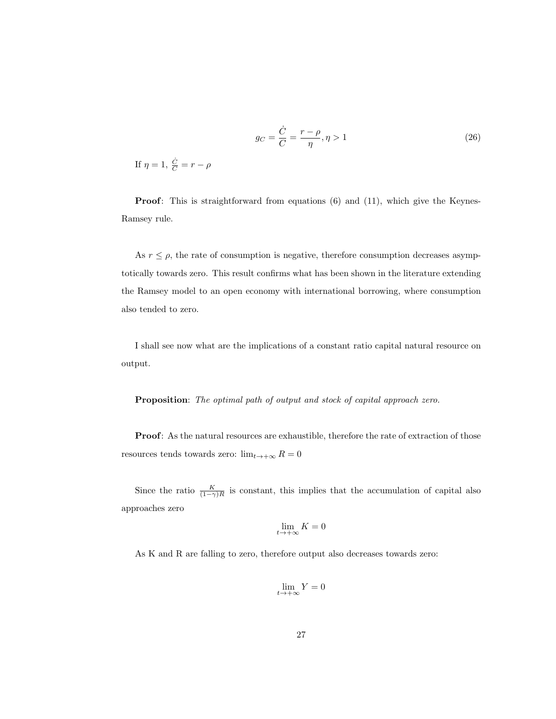$$
g_C = \frac{\dot{C}}{C} = \frac{r - \rho}{\eta}, \eta > 1
$$
\n(26)

If  $\eta = 1$ ,  $\frac{\dot{C}}{C} = r - \rho$ 

Proof: This is straightforward from equations (6) and (11), which give the Keynes-Ramsey rule.

As  $r \leq \rho$ , the rate of consumption is negative, therefore consumption decreases asymptotically towards zero. This result confirms what has been shown in the literature extending the Ramsey model to an open economy with international borrowing, where consumption also tended to zero.

I shall see now what are the implications of a constant ratio capital natural resource on output.

Proposition: The optimal path of output and stock of capital approach zero.

Proof: As the natural resources are exhaustible, therefore the rate of extraction of those resources tends towards zero:  $\lim_{t\to+\infty} R = 0$ 

Since the ratio  $\frac{K}{(1-\gamma)R}$  is constant, this implies that the accumulation of capital also approaches zero

$$
\lim_{t \to +\infty} K = 0
$$

As K and R are falling to zero, therefore output also decreases towards zero:

$$
\lim_{t \to +\infty} Y = 0
$$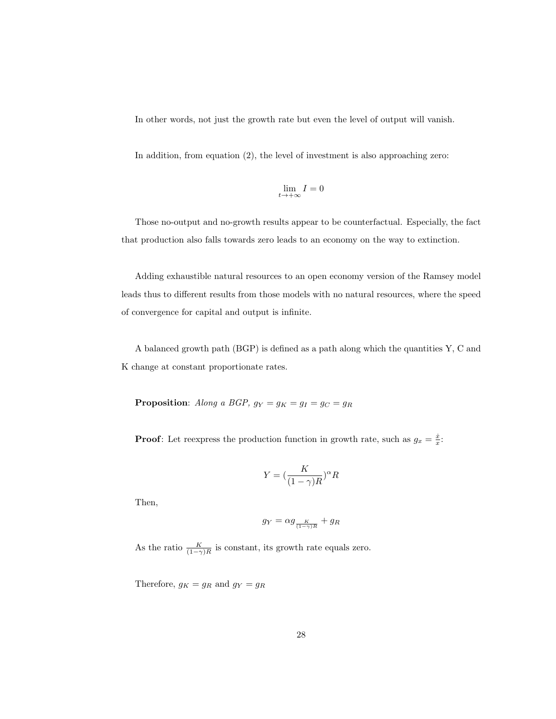In other words, not just the growth rate but even the level of output will vanish.

In addition, from equation (2), the level of investment is also approaching zero:

$$
\lim_{t \to +\infty} I = 0
$$

Those no-output and no-growth results appear to be counterfactual. Especially, the fact that production also falls towards zero leads to an economy on the way to extinction.

Adding exhaustible natural resources to an open economy version of the Ramsey model leads thus to different results from those models with no natural resources, where the speed of convergence for capital and output is infinite.

A balanced growth path (BGP) is defined as a path along which the quantities Y, C and K change at constant proportionate rates.

**Proposition:** Along a BGP,  $g_Y = g_K = g_I = g_C = g_R$ 

**Proof:** Let reexpress the production function in growth rate, such as  $g_x = \frac{\dot{x}}{x}$ .

$$
Y = (\frac{K}{(1-\gamma)R})^{\alpha}R
$$

Then,

$$
g_Y = \alpha g_{\frac{K}{(1-\gamma)R}} + g_R
$$

As the ratio  $\frac{K}{(1-\gamma)R}$  is constant, its growth rate equals zero.

Therefore,  $g_K = g_R$  and  $g_Y = g_R$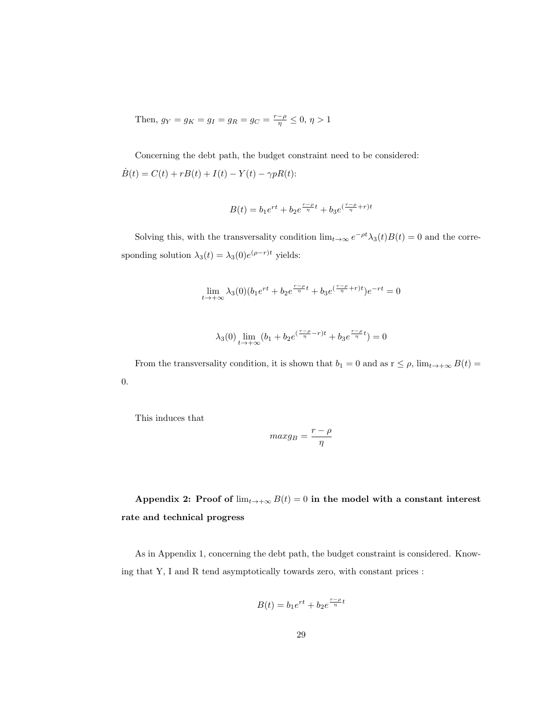Then, 
$$
g_Y = g_K = g_I = g_R = g_C = \frac{r - \rho}{\eta} \leq 0, \eta > 1
$$

Concerning the debt path, the budget constraint need to be considered:  $\dot{B}(t) = C(t) + rB(t) + I(t) - Y(t) - \gamma pR(t)$ :

$$
B(t) = b_1 e^{rt} + b_2 e^{\frac{r-\rho}{\eta}t} + b_3 e^{(\frac{r-\rho}{\eta}+r)t}
$$

Solving this, with the transversality condition  $\lim_{t\to\infty}e^{-\rho t}\lambda_3(t)B(t)=0$  and the corresponding solution  $\lambda_3(t) = \lambda_3(0)e^{(\rho - r)t}$  yields:

$$
\lim_{t \to +\infty} \lambda_3(0) (b_1 e^{rt} + b_2 e^{\frac{r-\rho}{\eta}t} + b_3 e^{(\frac{r-\rho}{\eta}+r)t}) e^{-rt} = 0
$$

$$
\lambda_3(0) \lim_{t \to +\infty} (b_1 + b_2 e^{(\frac{r-\rho}{\eta} - r)t} + b_3 e^{\frac{r-\rho}{\eta}t}) = 0
$$

From the transversality condition, it is shown that  $b_1 = 0$  and as  $r \le \rho$ ,  $\lim_{t \to +\infty} B(t) =$ 0.

This induces that

$$
maxg_B = \frac{r - \rho}{\eta}
$$

Appendix 2: Proof of  $\lim_{t\to+\infty} B(t) = 0$  in the model with a constant interest rate and technical progress

As in Appendix 1, concerning the debt path, the budget constraint is considered. Knowing that Y, I and R tend asymptotically towards zero, with constant prices :

$$
B(t) = b_1 e^{rt} + b_2 e^{\frac{r-\rho}{\eta}t}
$$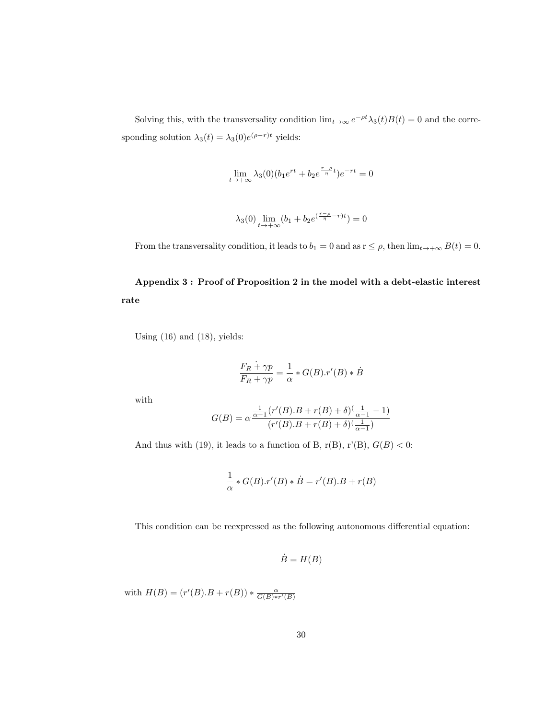Solving this, with the transversality condition  $\lim_{t\to\infty} e^{-\rho t} \lambda_3(t) B(t) = 0$  and the corresponding solution  $\lambda_3(t) = \lambda_3(0)e^{(\rho - r)t}$  yields:

$$
\lim_{t \to +\infty} \lambda_3(0) (b_1 e^{rt} + b_2 e^{\frac{r-\rho}{\eta}t}) e^{-rt} = 0
$$

$$
\lambda_3(0)\lim_{t\to+\infty}(b_1+b_2e^{(\frac{r-\rho}{\eta}-r)t})=0
$$

From the transversality condition, it leads to  $b_1 = 0$  and as  $r \le \rho$ , then  $\lim_{t \to +\infty} B(t) = 0$ .

Appendix 3 : Proof of Proposition 2 in the model with a debt-elastic interest rate

Using  $(16)$  and  $(18)$ , yields:

$$
\frac{F_R+\gamma p}{F_R+\gamma p}=\frac{1}{\alpha}*G(B).r'(B)*\dot{B}
$$

with

$$
G(B) = \alpha \frac{\frac{1}{\alpha - 1} (r'(B).B + r(B) + \delta) \frac{1}{\alpha - 1} - 1)}{(r'(B).B + r(B) + \delta) \frac{1}{\alpha - 1})}
$$

And thus with (19), it leads to a function of B,  $r(B)$ ,  $r'(B)$ ,  $G(B) < 0$ :

$$
\frac{1}{\alpha} * G(B) . r'(B) * \dot{B} = r'(B) . B + r(B)
$$

This condition can be reexpressed as the following autonomous differential equation:

$$
\dot{B} = H(B)
$$

with  $H(B) = (r'(B).B + r(B)) * \frac{\alpha}{G(B) * r'(B)}$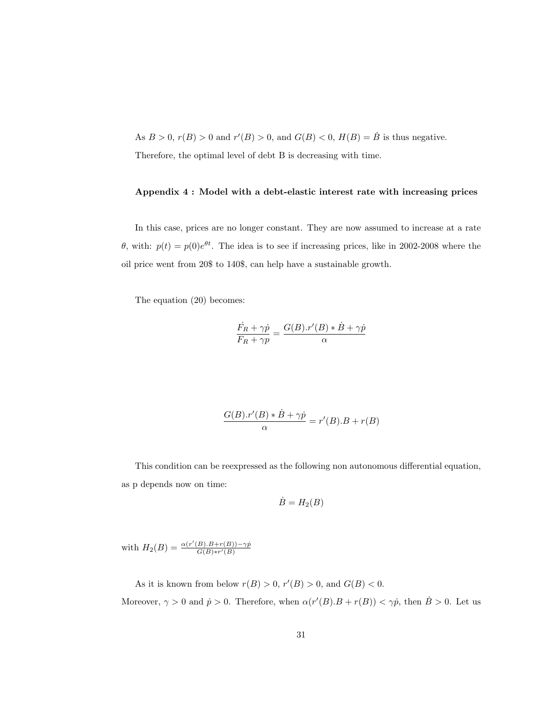As  $B > 0$ ,  $r(B) > 0$  and  $r'(B) > 0$ , and  $G(B) < 0$ ,  $H(B) = \dot{B}$  is thus negative. Therefore, the optimal level of debt B is decreasing with time.

#### Appendix 4 : Model with a debt-elastic interest rate with increasing prices

In this case, prices are no longer constant. They are now assumed to increase at a rate θ, with:  $p(t) = p(0)e^{\theta t}$ . The idea is to see if increasing prices, like in 2002-2008 where the oil price went from 20\$ to 140\$, can help have a sustainable growth.

The equation (20) becomes:

$$
\frac{\dot{F_R} + \gamma \dot{p}}{F_R + \gamma p} = \frac{G(B) \cdot r'(B) * \dot{B} + \gamma \dot{p}}{\alpha}
$$

$$
\frac{G(B).r'(B) * \dot{B} + \gamma \dot{p}}{\alpha} = r'(B).B + r(B)
$$

This condition can be reexpressed as the following non autonomous differential equation, as p depends now on time:

$$
\dot{B}=H_2(B)
$$

with  $H_2(B) = \frac{\alpha(r'(B).B+r(B))- \gamma \dot{p}}{G(B)*r'(B)}$  $G(B)$ \* $r'(B)$ 

As it is known from below  $r(B) > 0$ ,  $r'(B) > 0$ , and  $G(B) < 0$ . Moreover,  $\gamma > 0$  and  $\dot{p} > 0$ . Therefore, when  $\alpha(r'(B) \cdot B + r(B)) < \gamma \dot{p}$ , then  $\dot{B} > 0$ . Let us